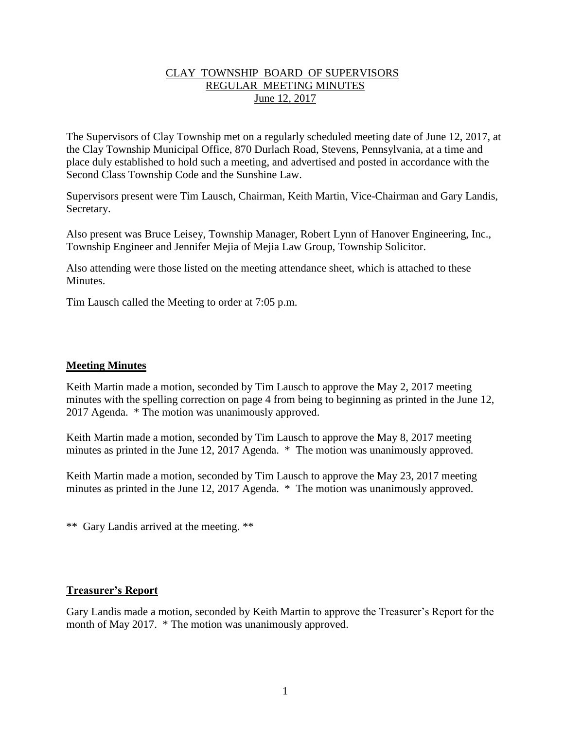## CLAY TOWNSHIP BOARD OF SUPERVISORS REGULAR MEETING MINUTES June 12, 2017

The Supervisors of Clay Township met on a regularly scheduled meeting date of June 12, 2017, at the Clay Township Municipal Office, 870 Durlach Road, Stevens, Pennsylvania, at a time and place duly established to hold such a meeting, and advertised and posted in accordance with the Second Class Township Code and the Sunshine Law.

Supervisors present were Tim Lausch, Chairman, Keith Martin, Vice-Chairman and Gary Landis, Secretary.

Also present was Bruce Leisey, Township Manager, Robert Lynn of Hanover Engineering, Inc., Township Engineer and Jennifer Mejia of Mejia Law Group, Township Solicitor.

Also attending were those listed on the meeting attendance sheet, which is attached to these **Minutes** 

Tim Lausch called the Meeting to order at 7:05 p.m.

### **Meeting Minutes**

Keith Martin made a motion, seconded by Tim Lausch to approve the May 2, 2017 meeting minutes with the spelling correction on page 4 from being to beginning as printed in the June 12, 2017 Agenda. \* The motion was unanimously approved.

Keith Martin made a motion, seconded by Tim Lausch to approve the May 8, 2017 meeting minutes as printed in the June 12, 2017 Agenda. \* The motion was unanimously approved.

Keith Martin made a motion, seconded by Tim Lausch to approve the May 23, 2017 meeting minutes as printed in the June 12, 2017 Agenda. \* The motion was unanimously approved.

\*\* Gary Landis arrived at the meeting. \*\*

#### **Treasurer's Report**

Gary Landis made a motion, seconded by Keith Martin to approve the Treasurer's Report for the month of May 2017. \* The motion was unanimously approved.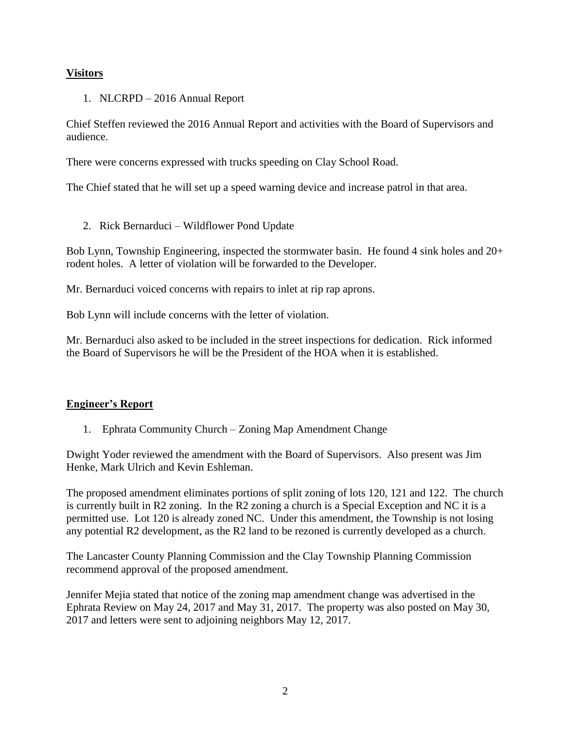# **Visitors**

### 1. NLCRPD – 2016 Annual Report

Chief Steffen reviewed the 2016 Annual Report and activities with the Board of Supervisors and audience.

There were concerns expressed with trucks speeding on Clay School Road.

The Chief stated that he will set up a speed warning device and increase patrol in that area.

2. Rick Bernarduci – Wildflower Pond Update

Bob Lynn, Township Engineering, inspected the stormwater basin. He found 4 sink holes and 20+ rodent holes. A letter of violation will be forwarded to the Developer.

Mr. Bernarduci voiced concerns with repairs to inlet at rip rap aprons.

Bob Lynn will include concerns with the letter of violation.

Mr. Bernarduci also asked to be included in the street inspections for dedication. Rick informed the Board of Supervisors he will be the President of the HOA when it is established.

#### **Engineer's Report**

1. Ephrata Community Church – Zoning Map Amendment Change

Dwight Yoder reviewed the amendment with the Board of Supervisors. Also present was Jim Henke, Mark Ulrich and Kevin Eshleman.

The proposed amendment eliminates portions of split zoning of lots 120, 121 and 122. The church is currently built in R2 zoning. In the R2 zoning a church is a Special Exception and NC it is a permitted use. Lot 120 is already zoned NC. Under this amendment, the Township is not losing any potential R2 development, as the R2 land to be rezoned is currently developed as a church.

The Lancaster County Planning Commission and the Clay Township Planning Commission recommend approval of the proposed amendment.

Jennifer Mejia stated that notice of the zoning map amendment change was advertised in the Ephrata Review on May 24, 2017 and May 31, 2017. The property was also posted on May 30, 2017 and letters were sent to adjoining neighbors May 12, 2017.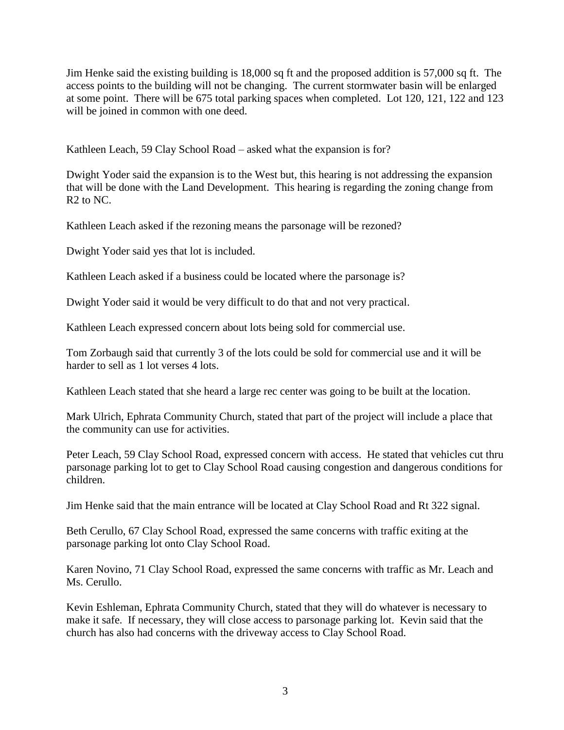Jim Henke said the existing building is 18,000 sq ft and the proposed addition is 57,000 sq ft. The access points to the building will not be changing. The current stormwater basin will be enlarged at some point. There will be 675 total parking spaces when completed. Lot 120, 121, 122 and 123 will be joined in common with one deed.

Kathleen Leach, 59 Clay School Road – asked what the expansion is for?

Dwight Yoder said the expansion is to the West but, this hearing is not addressing the expansion that will be done with the Land Development. This hearing is regarding the zoning change from R<sub>2</sub> to N<sub>C</sub>.

Kathleen Leach asked if the rezoning means the parsonage will be rezoned?

Dwight Yoder said yes that lot is included.

Kathleen Leach asked if a business could be located where the parsonage is?

Dwight Yoder said it would be very difficult to do that and not very practical.

Kathleen Leach expressed concern about lots being sold for commercial use.

Tom Zorbaugh said that currently 3 of the lots could be sold for commercial use and it will be harder to sell as 1 lot verses 4 lots.

Kathleen Leach stated that she heard a large rec center was going to be built at the location.

Mark Ulrich, Ephrata Community Church, stated that part of the project will include a place that the community can use for activities.

Peter Leach, 59 Clay School Road, expressed concern with access. He stated that vehicles cut thru parsonage parking lot to get to Clay School Road causing congestion and dangerous conditions for children.

Jim Henke said that the main entrance will be located at Clay School Road and Rt 322 signal.

Beth Cerullo, 67 Clay School Road, expressed the same concerns with traffic exiting at the parsonage parking lot onto Clay School Road.

Karen Novino, 71 Clay School Road, expressed the same concerns with traffic as Mr. Leach and Ms. Cerullo.

Kevin Eshleman, Ephrata Community Church, stated that they will do whatever is necessary to make it safe. If necessary, they will close access to parsonage parking lot. Kevin said that the church has also had concerns with the driveway access to Clay School Road.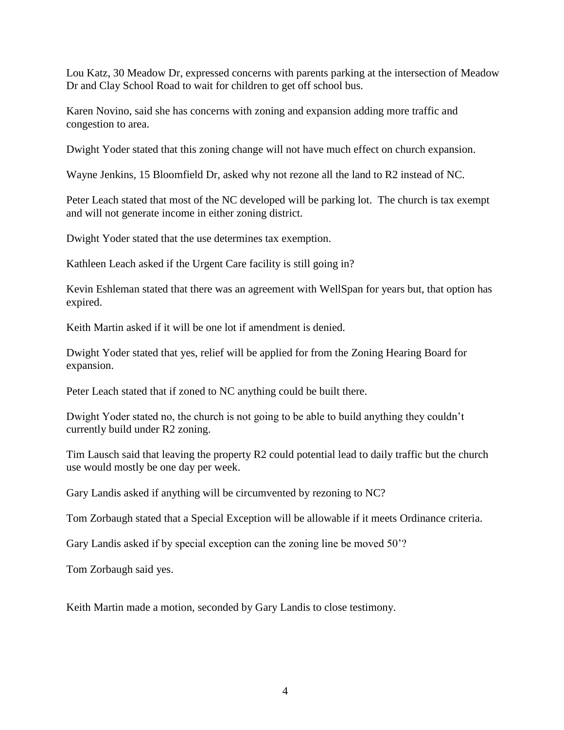Lou Katz, 30 Meadow Dr, expressed concerns with parents parking at the intersection of Meadow Dr and Clay School Road to wait for children to get off school bus.

Karen Novino, said she has concerns with zoning and expansion adding more traffic and congestion to area.

Dwight Yoder stated that this zoning change will not have much effect on church expansion.

Wayne Jenkins, 15 Bloomfield Dr, asked why not rezone all the land to R2 instead of NC.

Peter Leach stated that most of the NC developed will be parking lot. The church is tax exempt and will not generate income in either zoning district.

Dwight Yoder stated that the use determines tax exemption.

Kathleen Leach asked if the Urgent Care facility is still going in?

Kevin Eshleman stated that there was an agreement with WellSpan for years but, that option has expired.

Keith Martin asked if it will be one lot if amendment is denied.

Dwight Yoder stated that yes, relief will be applied for from the Zoning Hearing Board for expansion.

Peter Leach stated that if zoned to NC anything could be built there.

Dwight Yoder stated no, the church is not going to be able to build anything they couldn't currently build under R2 zoning.

Tim Lausch said that leaving the property R2 could potential lead to daily traffic but the church use would mostly be one day per week.

Gary Landis asked if anything will be circumvented by rezoning to NC?

Tom Zorbaugh stated that a Special Exception will be allowable if it meets Ordinance criteria.

Gary Landis asked if by special exception can the zoning line be moved 50'?

Tom Zorbaugh said yes.

Keith Martin made a motion, seconded by Gary Landis to close testimony.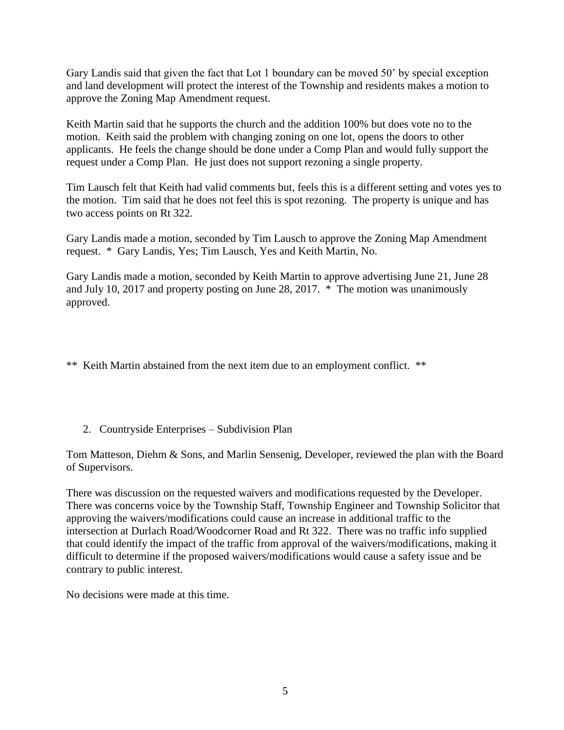Gary Landis said that given the fact that Lot 1 boundary can be moved 50' by special exception and land development will protect the interest of the Township and residents makes a motion to approve the Zoning Map Amendment request.

Keith Martin said that he supports the church and the addition 100% but does vote no to the motion. Keith said the problem with changing zoning on one lot, opens the doors to other applicants. He feels the change should be done under a Comp Plan and would fully support the request under a Comp Plan. He just does not support rezoning a single property.

Tim Lausch felt that Keith had valid comments but, feels this is a different setting and votes yes to the motion. Tim said that he does not feel this is spot rezoning. The property is unique and has two access points on Rt 322.

Gary Landis made a motion, seconded by Tim Lausch to approve the Zoning Map Amendment request. \* Gary Landis, Yes; Tim Lausch, Yes and Keith Martin, No.

Gary Landis made a motion, seconded by Keith Martin to approve advertising June 21, June 28 and July 10, 2017 and property posting on June 28, 2017. \* The motion was unanimously approved.

\*\* Keith Martin abstained from the next item due to an employment conflict. \*\*

2. Countryside Enterprises – Subdivision Plan

Tom Matteson, Diehm & Sons, and Marlin Sensenig, Developer, reviewed the plan with the Board of Supervisors.

There was discussion on the requested waivers and modifications requested by the Developer. There was concerns voice by the Township Staff, Township Engineer and Township Solicitor that approving the waivers/modifications could cause an increase in additional traffic to the intersection at Durlach Road/Woodcorner Road and Rt 322. There was no traffic info supplied that could identify the impact of the traffic from approval of the waivers/modifications, making it difficult to determine if the proposed waivers/modifications would cause a safety issue and be contrary to public interest.

No decisions were made at this time.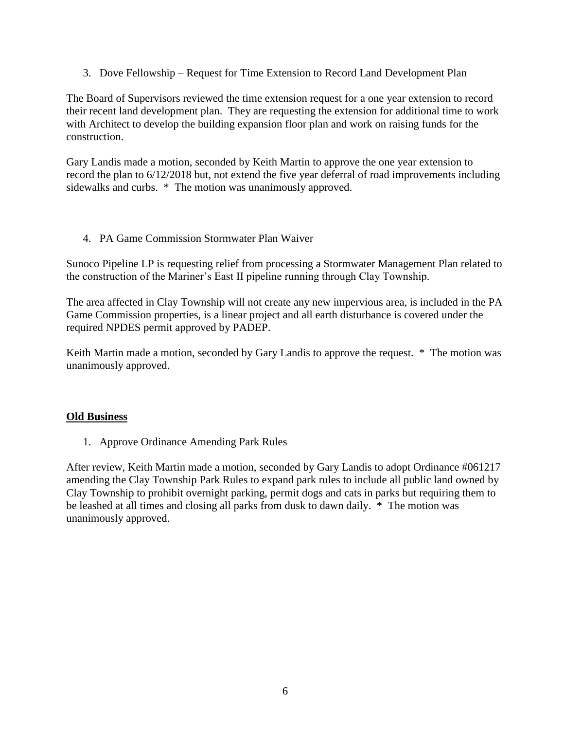3. Dove Fellowship – Request for Time Extension to Record Land Development Plan

The Board of Supervisors reviewed the time extension request for a one year extension to record their recent land development plan. They are requesting the extension for additional time to work with Architect to develop the building expansion floor plan and work on raising funds for the construction.

Gary Landis made a motion, seconded by Keith Martin to approve the one year extension to record the plan to 6/12/2018 but, not extend the five year deferral of road improvements including sidewalks and curbs. \* The motion was unanimously approved.

# 4. PA Game Commission Stormwater Plan Waiver

Sunoco Pipeline LP is requesting relief from processing a Stormwater Management Plan related to the construction of the Mariner's East II pipeline running through Clay Township.

The area affected in Clay Township will not create any new impervious area, is included in the PA Game Commission properties, is a linear project and all earth disturbance is covered under the required NPDES permit approved by PADEP.

Keith Martin made a motion, seconded by Gary Landis to approve the request. \* The motion was unanimously approved.

#### **Old Business**

1. Approve Ordinance Amending Park Rules

After review, Keith Martin made a motion, seconded by Gary Landis to adopt Ordinance #061217 amending the Clay Township Park Rules to expand park rules to include all public land owned by Clay Township to prohibit overnight parking, permit dogs and cats in parks but requiring them to be leashed at all times and closing all parks from dusk to dawn daily. \* The motion was unanimously approved.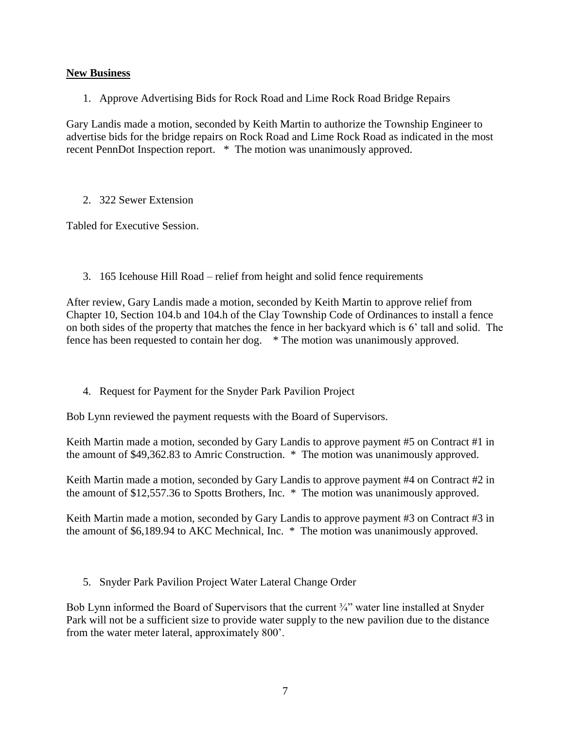# **New Business**

1. Approve Advertising Bids for Rock Road and Lime Rock Road Bridge Repairs

Gary Landis made a motion, seconded by Keith Martin to authorize the Township Engineer to advertise bids for the bridge repairs on Rock Road and Lime Rock Road as indicated in the most recent PennDot Inspection report. \* The motion was unanimously approved.

# 2. 322 Sewer Extension

Tabled for Executive Session.

3. 165 Icehouse Hill Road – relief from height and solid fence requirements

After review, Gary Landis made a motion, seconded by Keith Martin to approve relief from Chapter 10, Section 104.b and 104.h of the Clay Township Code of Ordinances to install a fence on both sides of the property that matches the fence in her backyard which is 6' tall and solid. The fence has been requested to contain her dog. \* The motion was unanimously approved.

4. Request for Payment for the Snyder Park Pavilion Project

Bob Lynn reviewed the payment requests with the Board of Supervisors.

Keith Martin made a motion, seconded by Gary Landis to approve payment #5 on Contract #1 in the amount of \$49,362.83 to Amric Construction. \* The motion was unanimously approved.

Keith Martin made a motion, seconded by Gary Landis to approve payment #4 on Contract #2 in the amount of \$12,557.36 to Spotts Brothers, Inc. \* The motion was unanimously approved.

Keith Martin made a motion, seconded by Gary Landis to approve payment #3 on Contract #3 in the amount of \$6,189.94 to AKC Mechnical, Inc. \* The motion was unanimously approved.

5. Snyder Park Pavilion Project Water Lateral Change Order

Bob Lynn informed the Board of Supervisors that the current  $\frac{3}{4}$ " water line installed at Snyder Park will not be a sufficient size to provide water supply to the new pavilion due to the distance from the water meter lateral, approximately 800'.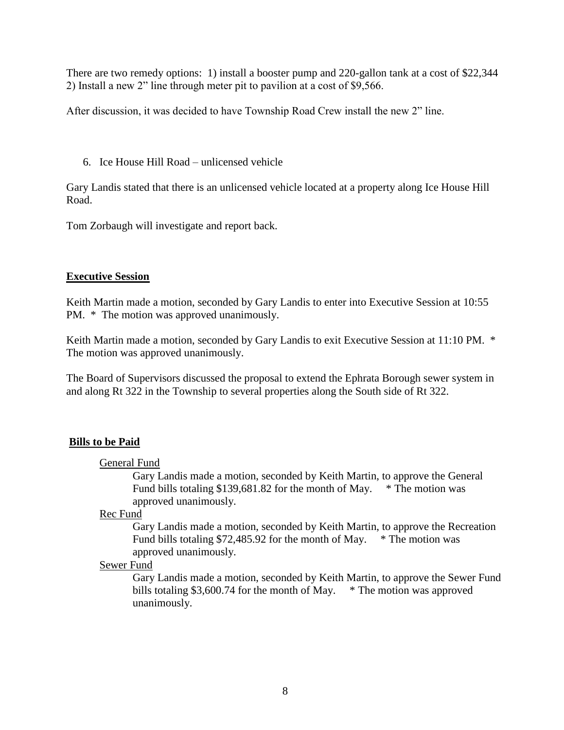There are two remedy options: 1) install a booster pump and 220-gallon tank at a cost of \$22,344 2) Install a new 2" line through meter pit to pavilion at a cost of \$9,566.

After discussion, it was decided to have Township Road Crew install the new 2" line.

6. Ice House Hill Road – unlicensed vehicle

Gary Landis stated that there is an unlicensed vehicle located at a property along Ice House Hill Road.

Tom Zorbaugh will investigate and report back.

## **Executive Session**

Keith Martin made a motion, seconded by Gary Landis to enter into Executive Session at 10:55 PM. \* The motion was approved unanimously.

Keith Martin made a motion, seconded by Gary Landis to exit Executive Session at 11:10 PM.  $*$ The motion was approved unanimously.

The Board of Supervisors discussed the proposal to extend the Ephrata Borough sewer system in and along Rt 322 in the Township to several properties along the South side of Rt 322.

# **Bills to be Paid**

#### General Fund

Gary Landis made a motion, seconded by Keith Martin, to approve the General Fund bills totaling \$139,681.82 for the month of May. \* The motion was approved unanimously.

Rec Fund

Gary Landis made a motion, seconded by Keith Martin, to approve the Recreation Fund bills totaling \$72,485.92 for the month of May.  $*$  The motion was approved unanimously.

#### Sewer Fund

Gary Landis made a motion, seconded by Keith Martin, to approve the Sewer Fund bills totaling \$3,600.74 for the month of May.  $*$  The motion was approved unanimously.